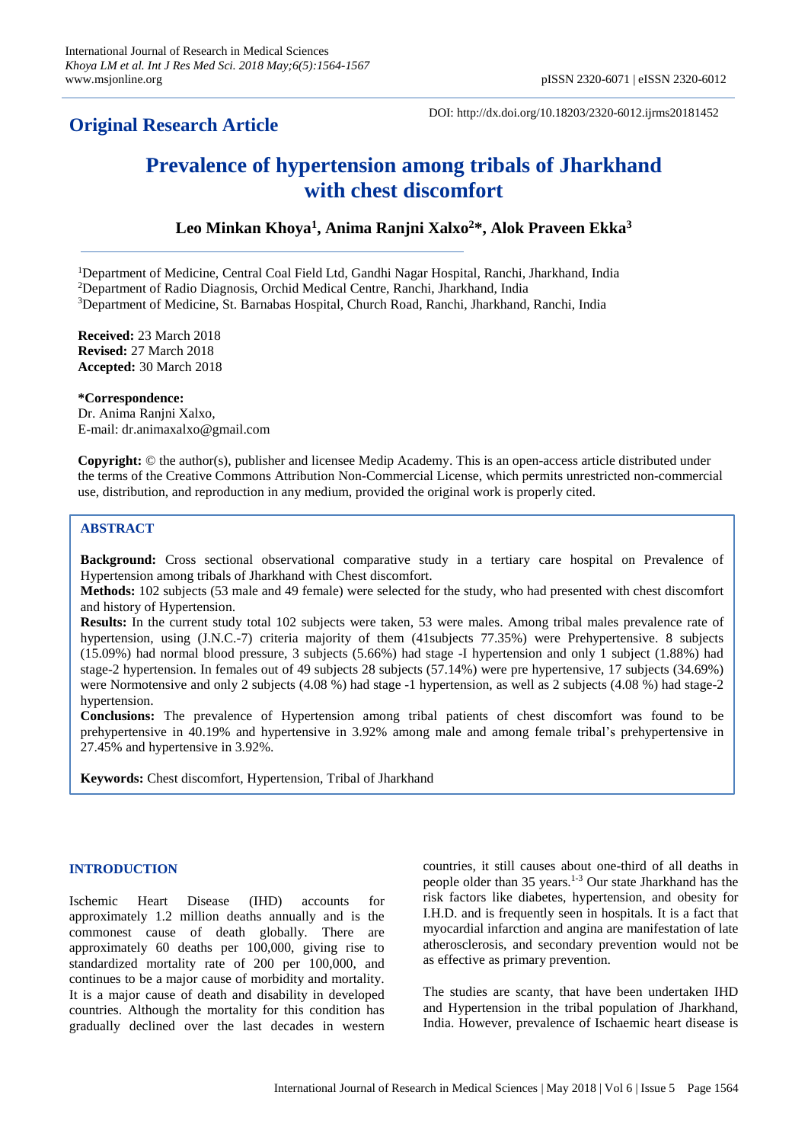# **Original Research Article**

DOI: http://dx.doi.org/10.18203/2320-6012.ijrms20181452

# **Prevalence of hypertension among tribals of Jharkhand with chest discomfort**

# **Leo Minkan Khoya<sup>1</sup> , Anima Ranjni Xalxo<sup>2</sup>\*, Alok Praveen Ekka<sup>3</sup>**

<sup>1</sup>Department of Medicine, Central Coal Field Ltd, Gandhi Nagar Hospital, Ranchi, Jharkhand, India <sup>2</sup>Department of Radio Diagnosis, Orchid Medical Centre, Ranchi, Jharkhand, India

<sup>3</sup>Department of Medicine, St. Barnabas Hospital, Church Road, Ranchi, Jharkhand, Ranchi, India

**Received:** 23 March 2018 **Revised:** 27 March 2018 **Accepted:** 30 March 2018

**\*Correspondence:** Dr. Anima Ranjni Xalxo, E-mail: dr.animaxalxo@gmail.com

**Copyright:** © the author(s), publisher and licensee Medip Academy. This is an open-access article distributed under the terms of the Creative Commons Attribution Non-Commercial License, which permits unrestricted non-commercial use, distribution, and reproduction in any medium, provided the original work is properly cited.

## **ABSTRACT**

**Background:** Cross sectional observational comparative study in a tertiary care hospital on Prevalence of Hypertension among tribals of Jharkhand with Chest discomfort.

**Methods:** 102 subjects (53 male and 49 female) were selected for the study, who had presented with chest discomfort and history of Hypertension.

**Results:** In the current study total 102 subjects were taken, 53 were males. Among tribal males prevalence rate of hypertension, using (J.N.C.-7) criteria majority of them (41subjects 77.35%) were Prehypertensive. 8 subjects (15.09%) had normal blood pressure, 3 subjects (5.66%) had stage -I hypertension and only 1 subject (1.88%) had stage-2 hypertension. In females out of 49 subjects 28 subjects (57.14%) were pre hypertensive, 17 subjects (34.69%) were Normotensive and only 2 subjects (4.08 %) had stage -1 hypertension, as well as 2 subjects (4.08 %) had stage-2 hypertension.

**Conclusions:** The prevalence of Hypertension among tribal patients of chest discomfort was found to be prehypertensive in 40.19% and hypertensive in 3.92% among male and among female tribal's prehypertensive in 27.45% and hypertensive in 3.92%.

**Keywords:** Chest discomfort, Hypertension, Tribal of Jharkhand

## **INTRODUCTION**

Ischemic Heart Disease (IHD) accounts for approximately 1.2 million deaths annually and is the commonest cause of death globally. There are approximately 60 deaths per 100,000, giving rise to standardized mortality rate of 200 per 100,000, and continues to be a major cause of morbidity and mortality. It is a major cause of death and disability in developed countries. Although the mortality for this condition has gradually declined over the last decades in western countries, it still causes about one-third of all deaths in people older than 35 years.1-3 Our state Jharkhand has the risk factors like diabetes, hypertension, and obesity for I.H.D. and is frequently seen in hospitals. It is a fact that myocardial infarction and angina are manifestation of late atherosclerosis, and secondary prevention would not be as effective as primary prevention.

The studies are scanty, that have been undertaken IHD and Hypertension in the tribal population of Jharkhand, India. However, prevalence of Ischaemic heart disease is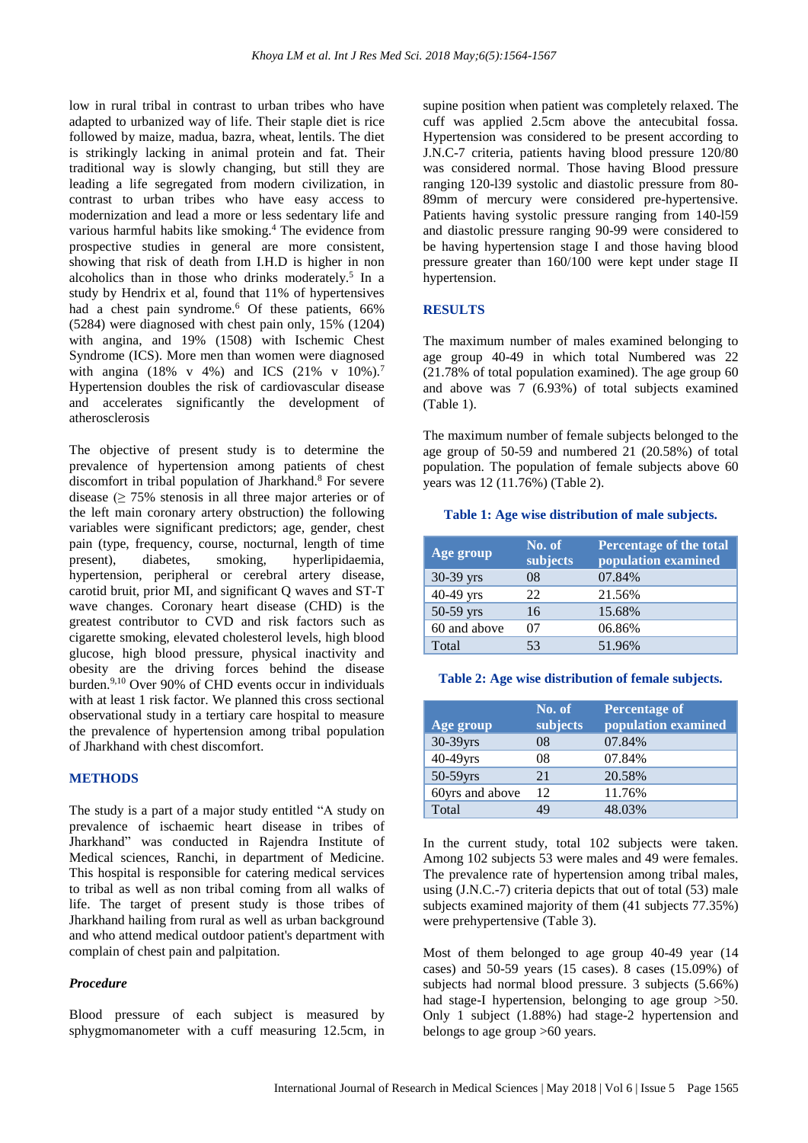low in rural tribal in contrast to urban tribes who have adapted to urbanized way of life. Their staple diet is rice followed by maize, madua, bazra, wheat, lentils. The diet is strikingly lacking in animal protein and fat. Their traditional way is slowly changing, but still they are leading a life segregated from modern civilization, in contrast to urban tribes who have easy access to modernization and lead a more or less sedentary life and various harmful habits like smoking. <sup>4</sup> The evidence from prospective studies in general are more consistent, showing that risk of death from I.H.D is higher in non alcoholics than in those who drinks moderately. 5 In a study by Hendrix et al, found that 11% of hypertensives had a chest pain syndrome.<sup>6</sup> Of these patients, 66% (5284) were diagnosed with chest pain only, 15% (1204) with angina, and 19% (1508) with Ischemic Chest Syndrome (ICS). More men than women were diagnosed with angina (18% v 4%) and ICS (21% v 10%).<sup>7</sup> Hypertension doubles the risk of cardiovascular disease and accelerates significantly the development of atherosclerosis

The objective of present study is to determine the prevalence of hypertension among patients of chest discomfort in tribal population of Jharkhand.<sup>8</sup> For severe disease  $(≥ 75%$  stenosis in all three major arteries or of the left main coronary artery obstruction) the following variables were significant predictors; age, gender, chest pain (type, frequency, course, nocturnal, length of time present), diabetes, smoking, hyperlipidaemia, hypertension, peripheral or cerebral artery disease, carotid bruit, prior MI, and significant Q waves and ST-T wave changes. Coronary heart disease (CHD) is the greatest contributor to CVD and risk factors such as cigarette smoking, elevated cholesterol levels, high blood glucose, high blood pressure, physical inactivity and obesity are the driving forces behind the disease burden.<sup>[9,](https://www.ncbi.nlm.nih.gov/pmc/articles/PMC4945772/#R3)[10](https://www.ncbi.nlm.nih.gov/pmc/articles/PMC4945772/#R4)</sup> Over 90% of CHD events occur in individuals with at least 1 risk factor. We planned this cross sectional observational study in a tertiary care hospital to measure the prevalence of hypertension among tribal population of Jharkhand with chest discomfort.

## **METHODS**

The study is a part of a major study entitled "A study on prevalence of ischaemic heart disease in tribes of Jharkhand" was conducted in Rajendra Institute of Medical sciences, Ranchi, in department of Medicine. This hospital is responsible for catering medical services to tribal as well as non tribal coming from all walks of life. The target of present study is those tribes of Jharkhand hailing from rural as well as urban background and who attend medical outdoor patient's department with complain of chest pain and palpitation.

## *Procedure*

Blood pressure of each subject is measured by sphygmomanometer with a cuff measuring 12.5cm, in supine position when patient was completely relaxed. The cuff was applied 2.5cm above the antecubital fossa. Hypertension was considered to be present according to J.N.C-7 criteria, patients having blood pressure 120/80 was considered normal. Those having Blood pressure ranging 120-l39 systolic and diastolic pressure from 80- 89mm of mercury were considered pre-hypertensive. Patients having systolic pressure ranging from 140-l59 and diastolic pressure ranging 90-99 were considered to be having hypertension stage I and those having blood pressure greater than 160/100 were kept under stage II hypertension.

## **RESULTS**

The maximum number of males examined belonging to age group 40-49 in which total Numbered was 22 (21.78% of total population examined). The age group 60 and above was 7 (6.93%) of total subjects examined (Table 1).

The maximum number of female subjects belonged to the age group of 50-59 and numbered 21 (20.58%) of total population. The population of female subjects above 60 years was 12 (11.76%) (Table 2).

#### **Table 1: Age wise distribution of male subjects.**

| Age group    | No. of<br>subjects | Percentage of the total<br>population examined |
|--------------|--------------------|------------------------------------------------|
| $30-39$ yrs  | 08                 | 07.84%                                         |
| 40-49 yrs    | 22                 | 21.56%                                         |
| 50-59 yrs    | 16                 | 15.68%                                         |
| 60 and above | 07                 | 06.86%                                         |
| Total        | 53                 | 51.96%                                         |

#### **Table 2: Age wise distribution of female subjects.**

| Age group       | No. of<br>subjects | <b>Percentage of</b><br>population examined |
|-----------------|--------------------|---------------------------------------------|
| 30-39yrs        | 08                 | 07.84%                                      |
| 40-49yrs        | 08                 | 07.84%                                      |
| $50-59$ yrs     | 21                 | 20.58%                                      |
| 60yrs and above | 12                 | 11.76%                                      |
| Total           | 49                 | 48.03%                                      |

In the current study, total 102 subjects were taken. Among 102 subjects 53 were males and 49 were females. The prevalence rate of hypertension among tribal males, using (J.N.C.-7) criteria depicts that out of total (53) male subjects examined majority of them (41 subjects 77.35%) were prehypertensive (Table 3).

Most of them belonged to age group 40-49 year (14 cases) and 50-59 years (15 cases). 8 cases (15.09%) of subjects had normal blood pressure. 3 subjects (5.66%) had stage-I hypertension, belonging to age group  $>50$ . Only 1 subject (1.88%) had stage-2 hypertension and belongs to age group >60 years.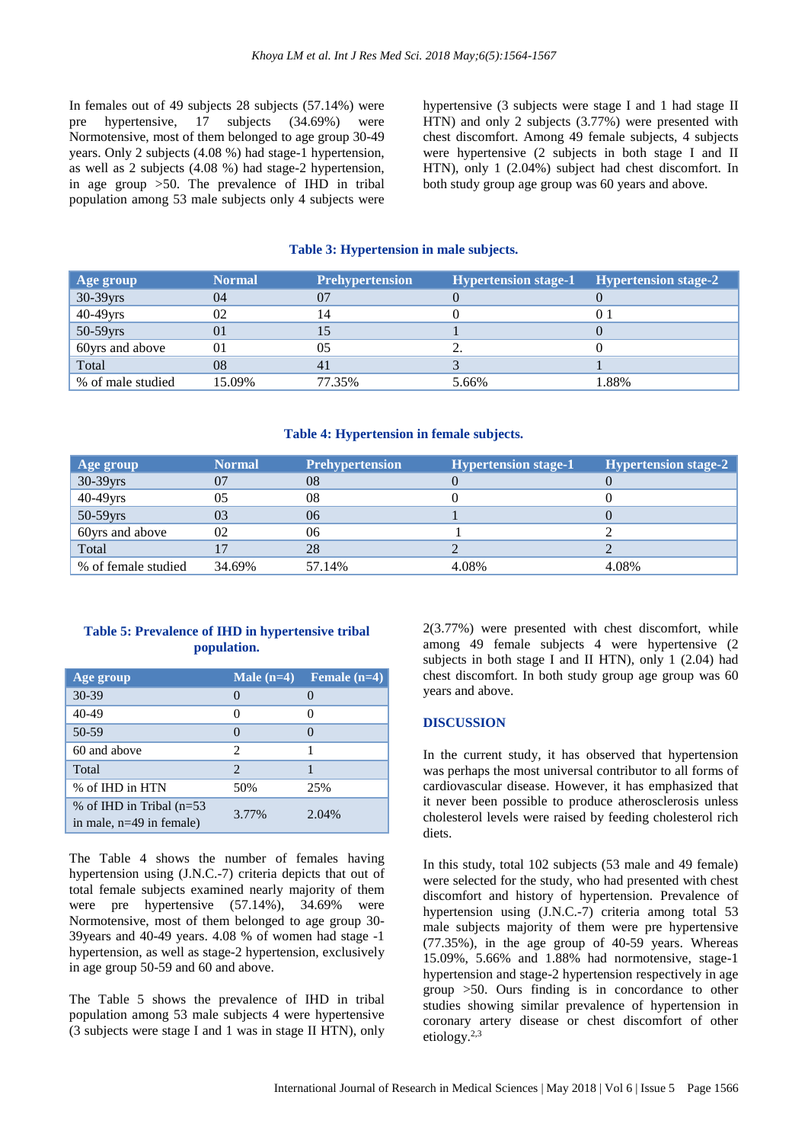In females out of 49 subjects 28 subjects (57.14%) were pre hypertensive, 17 subjects (34.69%) were Normotensive, most of them belonged to age group 30-49 years. Only 2 subjects (4.08 %) had stage-1 hypertension, as well as 2 subjects (4.08 %) had stage-2 hypertension, in age group >50. The prevalence of IHD in tribal population among 53 male subjects only 4 subjects were hypertensive (3 subjects were stage I and 1 had stage II HTN) and only 2 subjects (3.77%) were presented with chest discomfort. Among 49 female subjects, 4 subjects were hypertensive (2 subjects in both stage I and II HTN), only 1 (2.04%) subject had chest discomfort. In both study group age group was 60 years and above.

#### **Table 3: Hypertension in male subjects.**

| Age group         | <b>Normal</b> | <b>Prehypertension</b> | <b>Hypertension stage-1</b> | <b>Hypertension stage-2</b> |
|-------------------|---------------|------------------------|-----------------------------|-----------------------------|
| 30-39yrs          | 04            | 07                     |                             |                             |
| 40-49yrs          | 02            | 14                     |                             |                             |
| 50-59yrs          | 01            | 15                     |                             |                             |
| 60yrs and above   | $\Omega$      | 05                     |                             |                             |
| Total             | 08            | 41                     |                             |                             |
| % of male studied | 15.09%        | 77.35%                 | 5.66%                       | 1.88%                       |

#### **Table 4: Hypertension in female subjects.**

| Age group           | <b>Normal</b> | <b>Prehypertension</b> | <b>Hypertension stage-1</b> | <b>Hypertension stage-2</b> |
|---------------------|---------------|------------------------|-----------------------------|-----------------------------|
| 30-39yrs            | 07            | 08                     |                             |                             |
| 40-49yrs            | 05            | 08                     |                             |                             |
| 50-59yrs            | 03            | 06                     |                             |                             |
| 60yrs and above     | 02            | 06                     |                             |                             |
| Total               |               | 28                     |                             |                             |
| % of female studied | 34.69%        | 57.14%                 | 4.08%                       | 4.08%                       |

#### **Table 5: Prevalence of IHD in hypertensive tribal population.**

| Age group                                                 | Male $(n=4)$  | Female $(n=4)$ |
|-----------------------------------------------------------|---------------|----------------|
| 30-39                                                     |               |                |
| $40 - 49$                                                 |               |                |
| 50-59                                                     |               |                |
| 60 and above                                              | 2             |                |
| Total                                                     | $\mathcal{D}$ |                |
| % of IHD in HTN                                           | 50%           | 25%            |
| % of IHD in Tribal $(n=53)$<br>in male, $n=49$ in female) | 3.77%         | 2.04%          |

The Table 4 shows the number of females having hypertension using (J.N.C.-7) criteria depicts that out of total female subjects examined nearly majority of them were pre hypertensive (57.14%), 34.69% were Normotensive, most of them belonged to age group 30- 39years and 40-49 years. 4.08 % of women had stage -1 hypertension, as well as stage-2 hypertension, exclusively in age group 50-59 and 60 and above.

The Table 5 shows the prevalence of IHD in tribal population among 53 male subjects 4 were hypertensive (3 subjects were stage I and 1 was in stage II HTN), only 2(3.77%) were presented with chest discomfort, while among 49 female subjects 4 were hypertensive (2 subjects in both stage I and II HTN), only 1 (2.04) had chest discomfort. In both study group age group was 60 years and above.

#### **DISCUSSION**

In the current study, it has observed that hypertension was perhaps the most universal contributor to all forms of cardiovascular disease. However, it has emphasized that it never been possible to produce atherosclerosis unless cholesterol levels were raised by feeding cholesterol rich diets.

In this study, total 102 subjects (53 male and 49 female) were selected for the study, who had presented with chest discomfort and history of hypertension. Prevalence of hypertension using (J.N.C.-7) criteria among total 53 male subjects majority of them were pre hypertensive (77.35%), in the age group of 40-59 years. Whereas 15.09%, 5.66% and 1.88% had normotensive, stage-1 hypertension and stage-2 hypertension respectively in age group >50. Ours finding is in concordance to other studies showing similar prevalence of hypertension in coronary artery disease or chest discomfort of other etiology.2,3